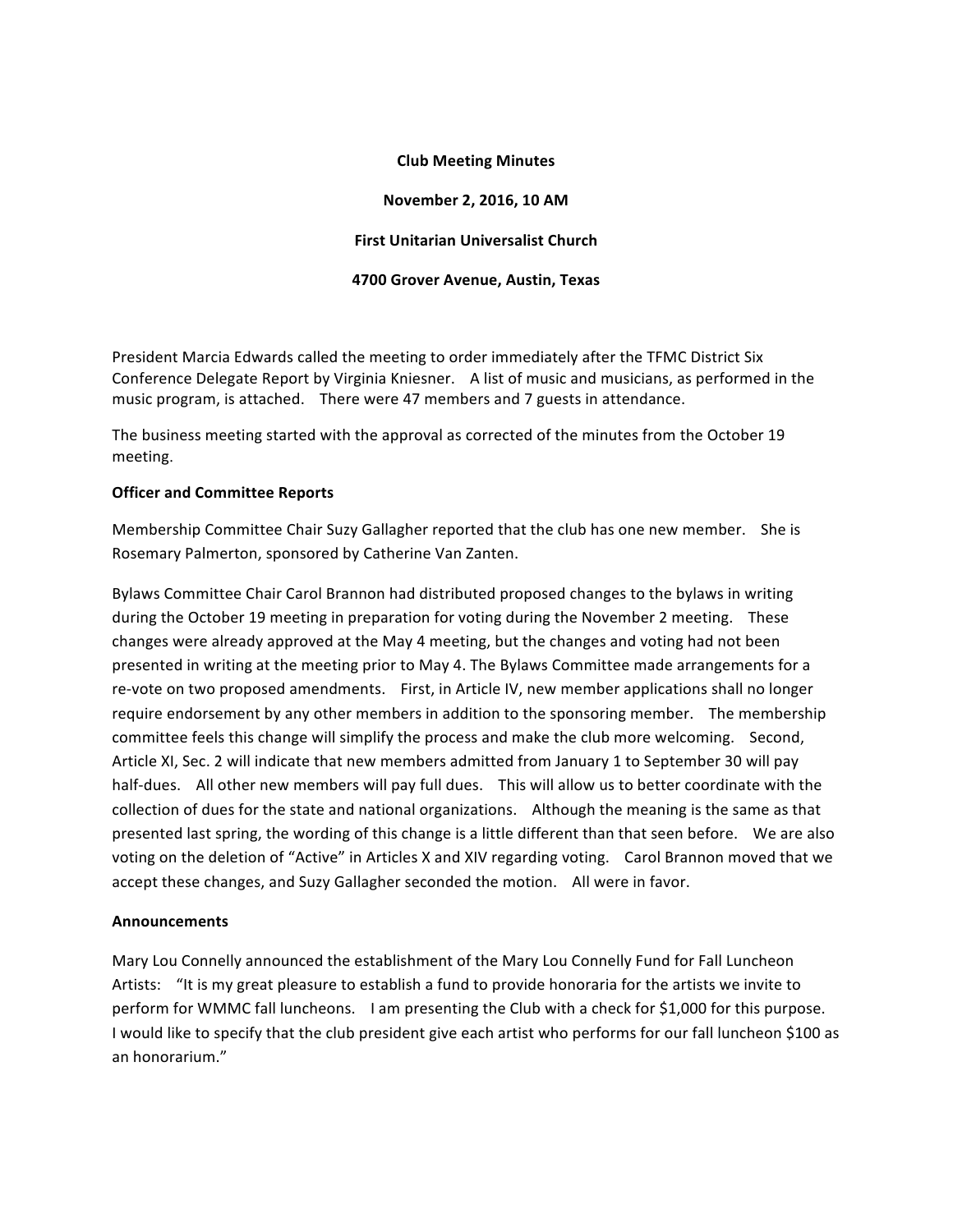## **Club Meeting Minutes**

**November 2, 2016, 10 AM First Unitarian Universalist Church 4700 Grover Avenue, Austin, Texas**

President Marcia Edwards called the meeting to order immediately after the TFMC District Six Conference Delegate Report by Virginia Kniesner. A list of music and musicians, as performed in the music program, is attached. There were 47 members and 7 guests in attendance.

The business meeting started with the approval as corrected of the minutes from the October 19 meeting. 

## **Officer and Committee Reports**

Membership Committee Chair Suzy Gallagher reported that the club has one new member. She is Rosemary Palmerton, sponsored by Catherine Van Zanten.

Bylaws Committee Chair Carol Brannon had distributed proposed changes to the bylaws in writing during the October 19 meeting in preparation for voting during the November 2 meeting. These changes were already approved at the May 4 meeting, but the changes and voting had not been presented in writing at the meeting prior to May 4. The Bylaws Committee made arrangements for a re-vote on two proposed amendments. First, in Article IV, new member applications shall no longer require endorsement by any other members in addition to the sponsoring member. The membership committee feels this change will simplify the process and make the club more welcoming. Second, Article XI, Sec. 2 will indicate that new members admitted from January 1 to September 30 will pay half-dues. All other new members will pay full dues. This will allow us to better coordinate with the collection of dues for the state and national organizations. Although the meaning is the same as that presented last spring, the wording of this change is a little different than that seen before. We are also voting on the deletion of "Active" in Articles X and XIV regarding voting. Carol Brannon moved that we accept these changes, and Suzy Gallagher seconded the motion. All were in favor.

## **Announcements**

Mary Lou Connelly announced the establishment of the Mary Lou Connelly Fund for Fall Luncheon Artists: "It is my great pleasure to establish a fund to provide honoraria for the artists we invite to perform for WMMC fall luncheons. I am presenting the Club with a check for \$1,000 for this purpose. I would like to specify that the club president give each artist who performs for our fall luncheon \$100 as an honorarium."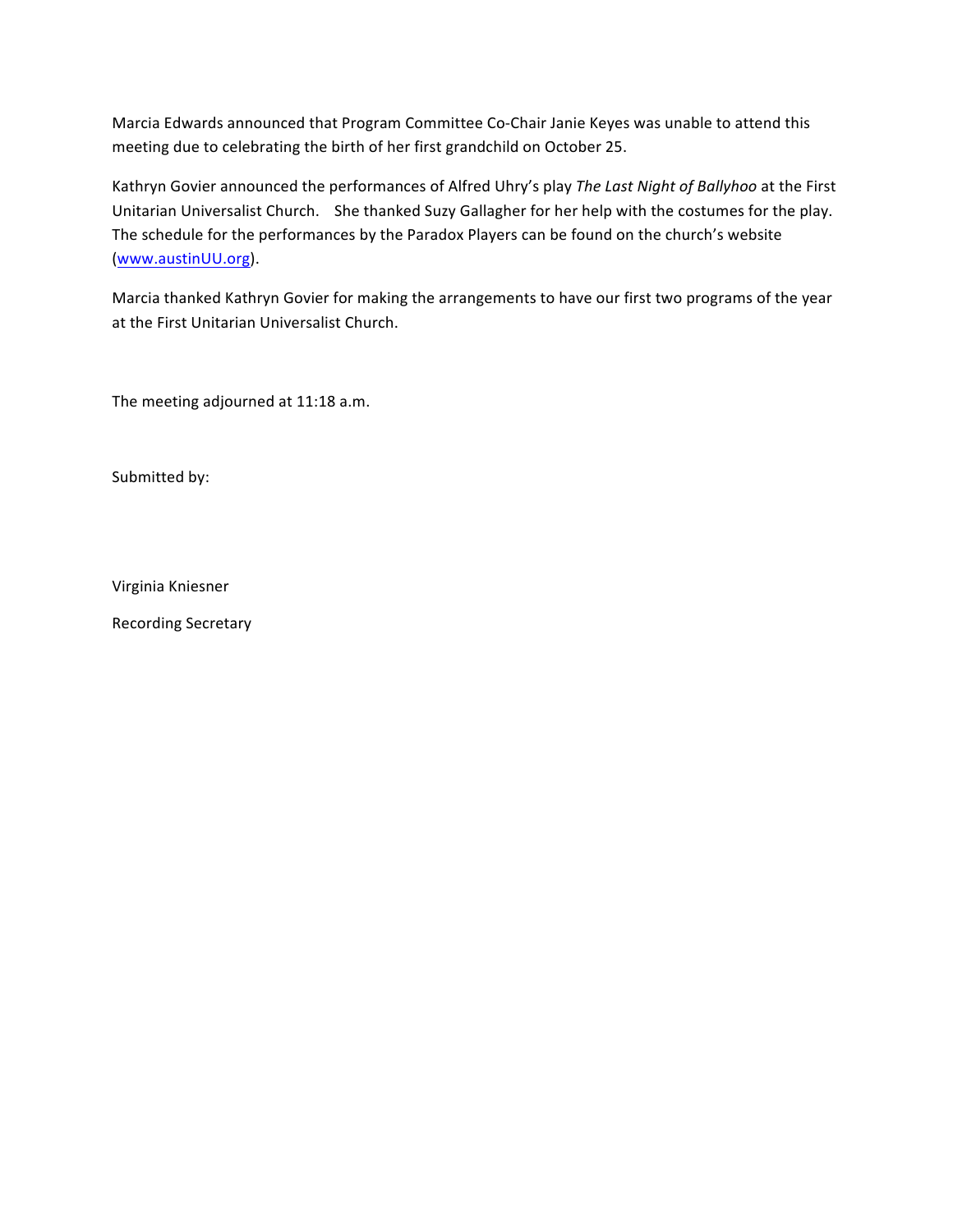Marcia Edwards announced that Program Committee Co-Chair Janie Keyes was unable to attend this meeting due to celebrating the birth of her first grandchild on October 25.

Kathryn Govier announced the performances of Alfred Uhry's play The Last Night of Ballyhoo at the First Unitarian Universalist Church. She thanked Suzy Gallagher for her help with the costumes for the play. The schedule for the performances by the Paradox Players can be found on the church's website (www.austinUU.org).

Marcia thanked Kathryn Govier for making the arrangements to have our first two programs of the year at the First Unitarian Universalist Church.

The meeting adjourned at 11:18 a.m.

Submitted by:

Virginia Kniesner

Recording Secretary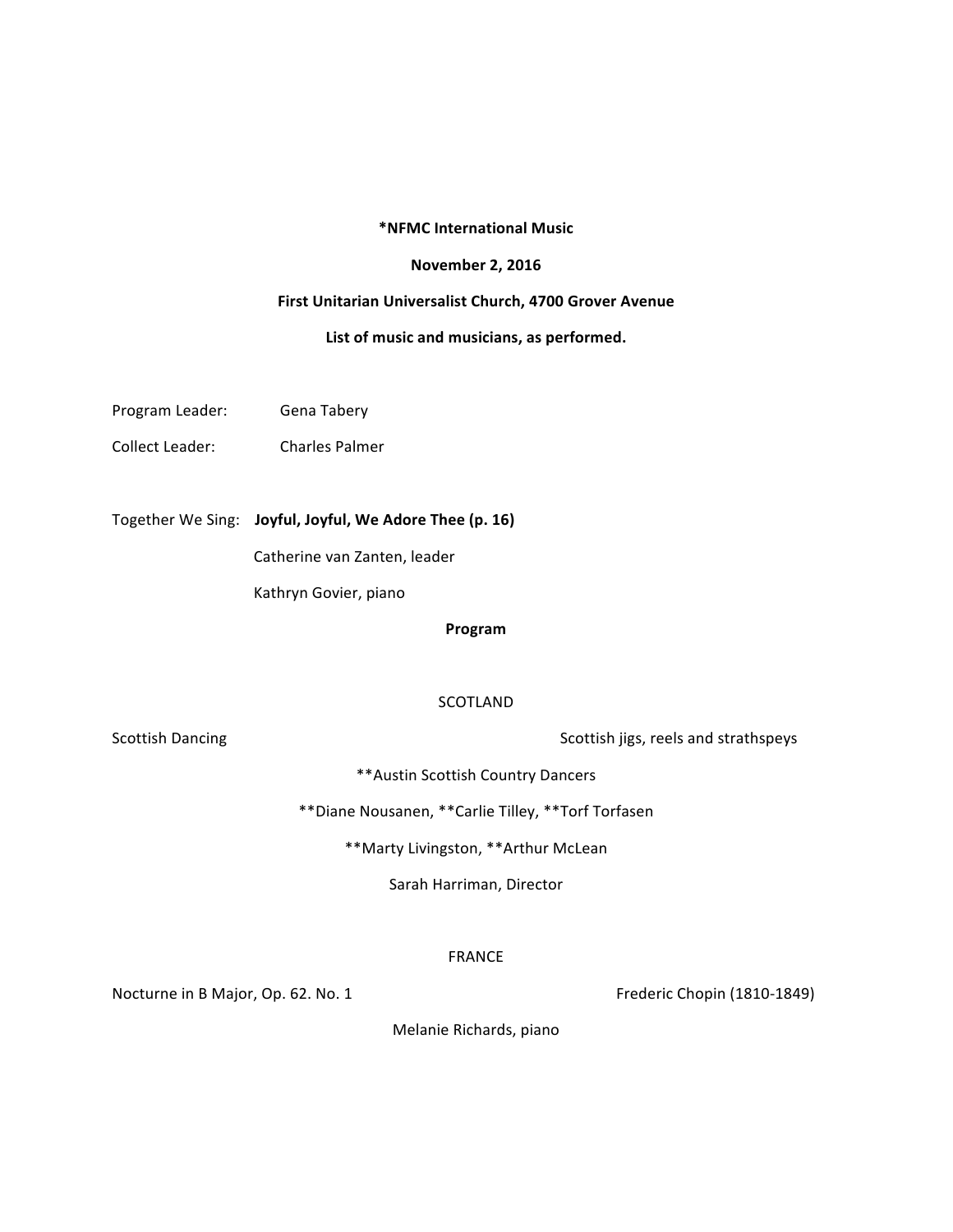## **\*NFMC International Music**

# **November 2, 2016**

## First Unitarian Universalist Church, 4700 Grover Avenue

List of music and musicians, as performed.

Program Leader: Gena Tabery

Collect Leader: Charles Palmer

Together We Sing: Joyful, Joyful, We Adore Thee (p. 16)

Catherine van Zanten, leader

Kathryn Govier, piano

**Program**

## SCOTLAND

Scottish Dancing Scottish jigs, reels and strathspeys Scottish jigs, reels and strathspeys

\*\*Austin Scottish Country Dancers

\*\*Diane Nousanen, \*\*Carlie Tilley, \*\*Torf Torfasen

\*\*Marty Livingston, \*\*Arthur McLean

Sarah Harriman, Director

## FRANCE

Nocturne in B Major, Op. 62. No. 1 Frederic Chopin (1810-1849)

Melanie Richards, piano